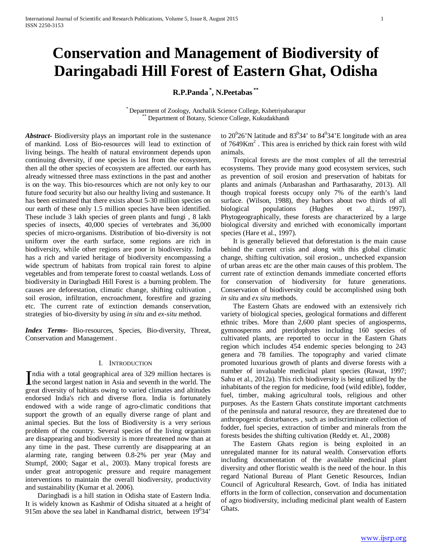# **Conservation and Management of Biodiversity of Daringabadi Hill Forest of Eastern Ghat, Odisha**

**R.P.Panda \* , N.Peetabas \*\***

\* Department of Zoology, Anchalik Science College, Kshetriyabarapur \*\* Department of Botany, Science College, Kukudakhandi

*Abstract***-** Biodiversity plays an important role in the sustenance of mankind. Loss of Bio-resources will lead to extinction of living beings. The health of natural environment depends upon continuing diversity, if one species is lost from the ecosystem, then all the other species of ecosystem are affected. our earth has already witnessed three mass extinctions in the past and another is on the way. This bio-resources which are not only key to our future food security but also our healthy living and sustenance. It has been estimated that there exists about 5-30 million species on our earth of these only 1.5 million species have been identified. These include 3 lakh species of green plants and fungi , 8 lakh species of insects, 40,000 species of vertebrates and 36,000 species of micro-organisms. Distribution of bio-diversity is not uniform over the earth surface, some regions are rich in biodiversity, while other regions are poor in biodiversity. India has a rich and varied heritage of biodiversity encompassing a wide spectrum of habitats from tropical rain forest to alpine vegetables and from temperate forest to coastal wetlands. Loss of biodiversity in Daringbadi Hill Forest is a burning problem. The causes are deforestation, climatic change, shifting cultivation , soil erosion, infiltration, encroachment, forestfire and grazing etc. The current rate of extinction demands conservation, strategies of bio-diversity by using *in situ* and *ex-situ* method.

*Index Terms*- Bio-resources, Species, Bio-diversity, Threat, Conservation and Management .

#### I. INTRODUCTION

ndia with a total geographical area of 329 million hectares is India with a total geographical area of  $329$  million hectares is the second largest nation in Asia and seventh in the world. The space distribution of helitation and all setting and all indices great diversity of habitats owing to varied climates and altitudes endorsed India's rich and diverse flora. India is fortunately endowed with a wide range of agro-climatic conditions that support the growth of an equally diverse range of plant and animal species. But the loss of Biodiversity is a very serious problem of the country. Several species of the living organism are disappearing and biodiversity is more threatened now than at any time in the past. These currently are disappearing at an alarming rate, ranging between 0.8-2% per year (May and Stumpf, 2000; Sagar et al., 2003). Many tropical forests are under great antropogenic pressure and require management interventions to maintain the overall biodiversity, productivity and sustainability (Kumar et al. 2006).

 Daringbadi is a hill station in Odisha state of Eastern India. It is widely known as Kashmir of Odisha situated at a height of 915m above the sea label in Kandhamal district, between  $19^034'$ 

to 20 $20^{\circ}$ 26'N latitude and 83 $\circ$ 34' to 84 $\circ$ 34'E longitude with an area of  $7649Km<sup>2</sup>$ . This area is enriched by thick rain forest with wild animals.

 Tropical forests are the most complex of all the terrestrial ecosystems. They provide many good ecosystem services, such as prevention of soil erosion and preservation of habitats for plants and animals (Anbarashan and Parthasarathy, 2013). All though tropical forests occupy only 7% of the earth's land surface. (Wilson, 1988), they harbors about two thirds of all biological populations (Hughes et al., 1997). Phytogeographically, these forests are characterized by a large biological diversity and enriched with economically important species (Hare et al., 1997).

 It is generally believed that deforestation is the main cause behind the current crisis and along with this global climatic change, shifting cultivation, soil erosion., unchecked expansion of urban areas etc are the other main causes of this problem. The current rate of extinction demands immediate concerted efforts for conservation of biodiversity for future generations. Conservation of biodiversity could be accomplished using both *in situ* and *ex situ* methods.

 The Eastern Ghats are endowed with an extensively rich variety of biological species, geological formations and different ethnic tribes. More than 2,600 plant species of angiosperms, gymnosperms and pteridophytes including 160 species of cultivated plants, are reported to occur in the Eastern Ghats region which includes 454 endemic species belonging to 243 genera and 78 families. The topography and varied climate promoted luxurious growth of plants and diverse forests with a number of invaluable medicinal plant species (Rawat, 1997; Sahu et al., 2012a). This rich biodiversity is being utilized by the inhabitants of the region for medicine, food (wild edible), fodder, fuel, timber, making agricultural tools, religious and other purposes. As the Eastern Ghats constitute important catchments of the peninsula and natural resource, they are threatened due to anthropogenic disturbances , such as indiscriminate collection of fodder, fuel species, extraction of timber and minerals from the forests besides the shifting cultivation (Reddy et. Al., 2008)

 The Eastern Ghats region is being exploited in an unregulated manner for its natural wealth. Conservation efforts including documentation of the available medicinal plant diversity and other floristic wealth is the need of the hour. In this regard National Bureau of Plant Genetic Resources, Indian Council of Agricultural Research, Govt. of India has initiated efforts in the form of collection, conservation and documentation of agro biodiversity, including medicinal plant wealth of Eastern Ghats.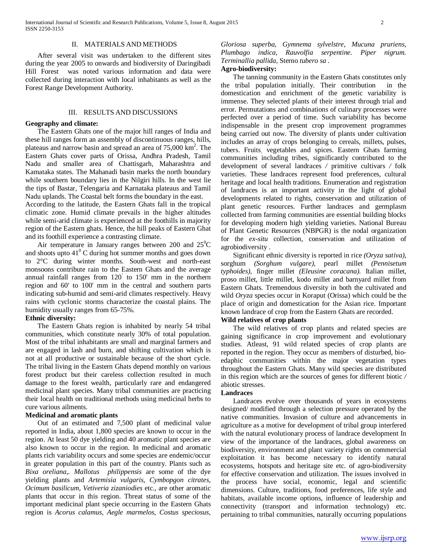#### II. MATERIALS AND METHODS

 After several visit was undertaken to the different sites during the year 2005 to onwards and biodiversity of Daringibadi Hill Forest was noted various information and data were collected during interaction with local inhabitants as well as the Forest Range Development Authority.

# III. RESULTS AND DISCUSSIONS

# **Geography and climate:**

 The Eastern Ghats one of the major hill ranges of India and these hill ranges form an assembly of discontinuous ranges, hills, plateaus and narrow basin and spread an area of 75,000 km<sup>2</sup>. The Eastern Ghats cover parts of Orissa, Andhra Pradesh, Tamil Nadu and smaller area of Chattisgarh, Maharashtra and Kamataka states. The Mahanadi basin marks the north boundary while southern boundary lies in the Nilgiri hills. In the west lie the tips of Bastar, Telengaria and Karnataka plateaus and Tamil Nadu uplands. The Coastal belt forms the boundary in the east.

According to the latitude, the Eastern Ghats fall in the tropical climatic zone. Humid climate prevails in the higher altitudes while semi-arid climate is experienced at the foothills in majority region of the Eastern ghats. Hence, the hill peaks of Eastern Ghat and its foothill experience a contrasting climate.

Air temperature in January ranges between 200 and  $25^{\circ}$ C and shoots upto  $41^{\circ}$  C during hot summer months and goes down to 2°C during winter months. South-west and north-east monsoons contribute rain to the Eastern Ghats and the average annual rainfall ranges from 120' to 150' mm in the northern region and 60' to 100' mm in the central and southern parts indicating sub-humid and semi-arid climates respectively. Heavy rains with cyclonic storms characterize the coastal plains. The humidity usually ranges from 65-75%.

#### **Ethnic diversity:**

 The Eastern Ghats region is inhabited by nearly 54 tribal communities, which constitute nearly 30% of total population. Most of the tribal inhabitants are small and marginal farmers and are engaged in lash and burn, and shifting cultivation which is not at all productive or sustainable because of the short cycle. The tribal living in the Eastern Ghats depend monthly on various forest product but their careless collection resulted in much damage to the forest wealth, particularly rare and endangered medicinal plant species. Many tribal communities are practicing their local health on traditional methods using medicinal herbs to cure various ailments.

## **Medicinal and aromatic plants**

 Out of an estimated and 7,500 plant of medicinal value reported in India, about 1,800 species are known to occur in the region. At least 50 dye yielding and 40 aromatic plant species are also known to occur in the region. In medicinal and aromatic plants rich variability occurs and some species are endemic/occur in greater population in this part of the country. Plants such as *Bixa oreliana,. Mallotus philippensis* are some of the dye yielding plants and *Artemisia vulgaris, Cymbopgon citrates, Ocimum basilicum, Vetiveria zizaniodies* etc., are other aromatic plants that occur in this region. Threat status of some of the important medicinal plant specie occurring in the Eastern Ghats region is *Acorus calamus, Aegle marmelos, Costus speciosus,* 

*Gloriosa superba, Gymnema sylvelstre, Mucuna pruriens, Plumbago indica, Rauvolfia serpentine. Piper nigrum. Terminallia pallida,* Sterno *tubero sa .* 

# **Agro-biodiversity:**

 The tanning community in the Eastern Ghats constitutes only the tribal population initially. Their contribution in the domestication and enrichment of the genetic variability is immense. They selected plants of their interest through trial and error. Permutations and combinations of culinary processes were perfected over a period of time. Such variability has become indispensable in the present crop improvement programmes being carried out now. The diversity of plants under cultivation includes an array of crops belonging to cereals, millets, pulses, tubers. Fruits, vegetables and spices. Eastern Ghats farming communities including tribes, significantly contributed to the development of several landraces */* primitive cultivars */* folk varieties. These landraces represent food preferences, cultural heritage and local health traditions. Enumeration and registration of landraces is an important activity in the light of global developments related to rights, conservation and utilization of plant genetic resources. Further landraces and germplasm collected from farming communities are essential building blocks for developing modern high yielding varieties. National Bureau of Plant Genetic Resources (NBPGR) is the nodal organization for the *ex-situ* collection, conservation and utilization of agrobiodiversity .

 Significant ethnic diversity is reported in rice *(Oryza sativa),*  sorghum *(Sorghum vulgare),* pearl millet *(Pennisetum typhoides),* finger millet *(Eleusine coracana).* Italian millet, proso millet, little millet, kodo millet and barnyard millet from Eastern Ghats. Tremendous diversity in both the cultivated and wild *Oryza* species occur in Koraput (Orissa) which could be the place of origin and domestication for the Asian rice. Important known landrace of crop from the Eastern Ghats are recorded.

#### **Wild relatives of crop plants**

 The wild relatives of crop plants and related species are gaining significance in crop improvement and evolutionary studies. Atleast, 91 wild related species of crop plants are reported in the region. They occur as members of disturbed, bioedaphic communities within the major vegetation types throughout the Eastern Ghats. Many wild species are distributed in this region which are the sources of genes for different biotic */*  abiotic stresses.

#### **Landraces**

 Landraces evolve over thousands of years in ecosystems designed/ modified through a selection pressure operated by the native communities. Invasion of culture and advancements in agriculture as a motive for development of tribal group interfered with the natural evolutionary process of landrace development In view of the importance of the landraces, global awareness on biodiversity, environment and plant variety rights on commercial exploitation it has become necessary to identify natural ecosystems, hotspots and heritage site etc. of agro-biodiversity for effective conservation and utilization. The issues involved in the process have social, economic, legal and scientific dimensions. Culture, traditions, food preferences, life style and habitats, available income options, influence of leadership and connectivity (transport and information technology) etc. pertaining to tribal communities, naturally occurring populations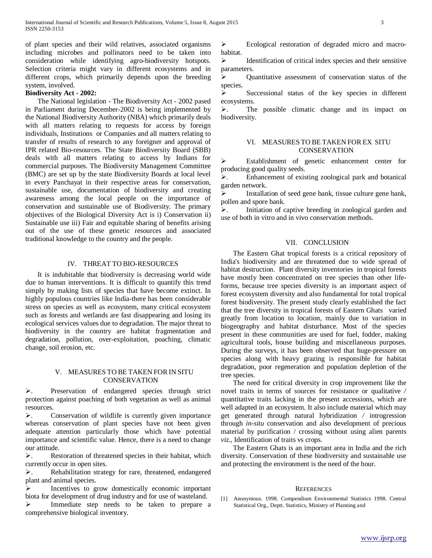of plant species and their wild relatives, associated organisms including microbes and pollinators need to be taken into consideration while identifying agro-biodiversity hotspots. Selection criteria might vary in different ecosystems and in different crops, which primarily depends upon the breeding system, involved.

# **Biodiversity Act - 2002:**

 The National legislation - The Biodiversity Act - 2002 pased in Parliament during December-2002 is being implemented by the National Biodiversity Authority (NBA) which primarily deals with all matters relating to requests for access by foreign individuals, Institutions or Companies and all matters relating to transfer of results of research to any foreigner and approval of IPR related Bio-resources. The State Biodiversity Board (SBB) deals with all matters relating to access by Indians for commercial purposes. The Biodiversity Management Committee (BMC) are set up by the state Biodiversity Boards at local level in every Panchayat in their respective areas for conservation, sustainable use, documentation of biodiversity and creating awareness among the local people on the importance of conservation and sustainable use of Biodiversity. The primary objectives of the Biological Diversity Act is i) Conservation ii) Sustainable use iii) Fair and equitable sharing of benefits arising out of the use of these genetic resources and associated traditional knowledge to the country and the people.

# IV. THREAT TO BIO-RESOURCES

 It is indubitable that biodiversity is decreasing world wide due to human interventions. It is difficult to quantify this trend simply by making lists of species that have become extinct. In highly populous countries like India-there has been considerable stress on species as well as ecosystem, many critical ecosystem such as forests and wetlands are fast disappearing and losing its ecological services values due to degradation. The major threat to biodiversity in the country are habitat fragmentation and degradation, pollution, over-exploitation, poaching, climatic change, soil erosion, etc.

# V. MEASURES TO BE TAKEN FORIN SITU **CONSERVATION**

. Preservation of endangered species through strict protection against poaching of both vegetation as well as animal resources.

 $\blacktriangleright$ . Conservation of wildlife is currently given importance whereas conservation of plant species have not been given adequate attention particularly those which have potential importance and scientific value. Hence, there is a need to change our attitude.

 $\blacktriangleright$ . Restoration of threatened species in their habitat, which currently occur in open sites.

. Rehabilitation strategy for rare, threatened, endangered plant and animal species.

 $\triangleright$  Incentives to grow domestically economic important biota for development of drug industry and for use of wasteland.

Immediate step needs to be taken to prepare a comprehensive biological inventory.

Ecological restoration of degraded micro and macrohabitat.

 $\triangleright$  Identification of critical index species and their sensitive parameters.

 Quantitative assessment of conservation status of the species.

 $\triangleright$  Successional status of the key species in different ecosystems.

 $\blacktriangleright$ . The possible climatic change and its impact on biodiversity.

# VI. MEASURES TO BE TAKEN FOREX SITU CONSERVATION

Establishment of genetic enhancement center for producing good quality seeds.

. Enhancement of existing zoological park and botanical garden network.

 Installation of seed gene bank, tissue culture gene bank, pollen and spore bank.

. Initiation of captive breeding in zoological garden and use of both in vitro and in vivo conservation methods.

## VII. CONCLUSION

 The Eastern Ghat tropical forests is a critical repository of India's biodiversity and are threatened due to wide spread of habitat destruction. Plant diversity inventories in tropical forests have mostly been concentrated on tree species than other lifeforms, because tree species diversity is an important aspect of forest ecosystem diversity and also fundamental for total tropical forest biodiversity. The present study clearly established the fact that the tree diversity in tropical forests of Eastern Ghats varied greatly from location to location, mainly due to variation in biogeography and habitat disturbance. Most of the species present in these communities are used for fuel, fodder, making agricultural tools, house building and miscellaneous purposes. During the surveys, it has been observed that huge-pressure on species along with heavy grazing is responsible for habitat degradation, poor regeneration and population depletion of the tree species.

 The need for critical diversity in crop improvement like the novel traits in terms of sources for resistance or qualitative */*  quantitative traits lacking in the present accessions, which are well adapted in an ecosystem. It also include material which may get generated through natural hybridization */* introgression through *in-situ* conservation and also development of precious material by purification / crossing without using alien parents *viz.,* Identification of traits vs crops.

 The Eastern Ghats is an important area in India and the rich diversity. Conservation of these biodiversity and sustainable use and protecting the environment is the need of the hour.

#### **REFERENCES**

[1] Anonymous. 1998. Compendium Environmental Statistics 1998. Central Statistical Org., Deptt. Statistics, Ministry of Planning and